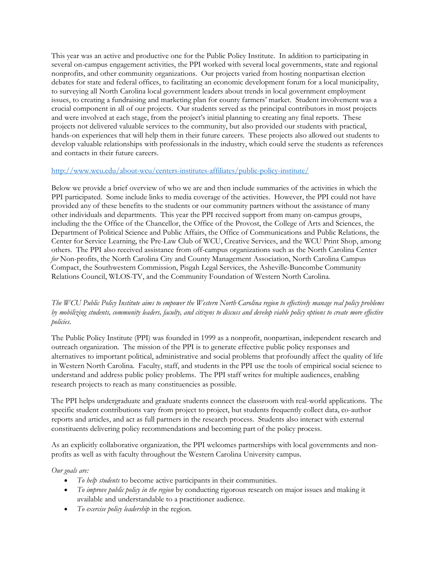This year was an active and productive one for the Public Policy Institute. In addition to participating in several on-campus engagement activities, the PPI worked with several local governments, state and regional nonprofits, and other community organizations. Our projects varied from hosting nonpartisan election debates for state and federal offices, to facilitating an economic development forum for a local municipality, to surveying all North Carolina local government leaders about trends in local government employment issues, to creating a fundraising and marketing plan for county farmers' market. Student involvement was a crucial component in all of our projects. Our students served as the principal contributors in most projects and were involved at each stage, from the project's initial planning to creating any final reports. These projects not delivered valuable services to the community, but also provided our students with practical, hands-on experiences that will help them in their future careers. These projects also allowed out students to develop valuable relationships with professionals in the industry, which could serve the students as references and contacts in their future careers.

## http://www.wcu.edu/about-wcu/centers-institutes-affiliates/public-policy-institute/

Below we provide a brief overview of who we are and then include summaries of the activities in which the PPI participated. Some include links to media coverage of the activities. However, the PPI could not have provided any of these benefits to the students or our community partners without the assistance of many other individuals and departments. This year the PPI received support from many on-campus groups, including the the Office of the Chancellor, the Office of the Provost, the College of Arts and Sciences, the Department of Political Science and Public Affairs, the Office of Communications and Public Relations, the Center for Service Learning, the Pre-Law Club of WCU, Creative Services, and the WCU Print Shop, among others. The PPI also received assistance from off-campus organizations such as the North Carolina Center for Non-profits, the North Carolina City and County Management Association, North Carolina Campus Compact, the Southwestern Commission, Pisgah Legal Services, the Asheville-Buncombe Community Relations Council, WLOS-TV, and the Community Foundation of Western North Carolina.

# The WCU Public Policy Institute aims to empower the Western North Carolina region to effectively manage real policy problems by mobilizing students, community leaders, faculty, and citizens to discuss and develop viable policy options to create more effective policies.

The Public Policy Institute (PPI) was founded in 1999 as a nonprofit, nonpartisan, independent research and outreach organization. The mission of the PPI is to generate effective public policy responses and alternatives to important political, administrative and social problems that profoundly affect the quality of life in Western North Carolina. Faculty, staff, and students in the PPI use the tools of empirical social science to understand and address public policy problems. The PPI staff writes for multiple audiences, enabling research projects to reach as many constituencies as possible.

The PPI helps undergraduate and graduate students connect the classroom with real-world applications. The specific student contributions vary from project to project, but students frequently collect data, co-author reports and articles, and act as full partners in the research process. Students also interact with external constituents delivering policy recommendations and becoming part of the policy process.

As an explicitly collaborative organization, the PPI welcomes partnerships with local governments and nonprofits as well as with faculty throughout the Western Carolina University campus.

### Our goals are:

- $\bullet$  To help students to become active participants in their communities.
- To improve public policy in the region by conducting rigorous research on major issues and making it available and understandable to a practitioner audience.
- To exercise policy leadership in the region.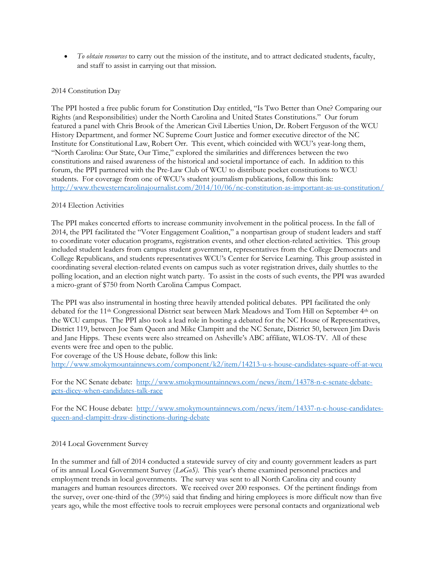• To obtain resources to carry out the mission of the institute, and to attract dedicated students, faculty, and staff to assist in carrying out that mission.

# 2014 Constitution Day

The PPI hosted a free public forum for Constitution Day entitled, "Is Two Better than One? Comparing our Rights (and Responsibilities) under the North Carolina and United States Constitutions." Our forum featured a panel with Chris Brook of the American Civil Liberties Union, Dr. Robert Ferguson of the WCU History Department, and former NC Supreme Court Justice and former executive director of the NC Institute for Constitutional Law, Robert Orr. This event, which coincided with WCU's year-long them, "North Carolina: Our State, Our Time," explored the similarities and differences between the two constitutions and raised awareness of the historical and societal importance of each. In addition to this forum, the PPI partnered with the Pre-Law Club of WCU to distribute pocket constitutions to WCU students. For coverage from one of WCU's student journalism publications, follow this link: http://www.thewesterncarolinajournalist.com/2014/10/06/nc-constitution-as-important-as-us-constitution/

## 2014 Election Activities

The PPI makes concerted efforts to increase community involvement in the political process. In the fall of 2014, the PPI facilitated the "Voter Engagement Coalition," a nonpartisan group of student leaders and staff to coordinate voter education programs, registration events, and other election-related activities. This group included student leaders from campus student government, representatives from the College Democrats and College Republicans, and students representatives WCU's Center for Service Learning. This group assisted in coordinating several election-related events on campus such as voter registration drives, daily shuttles to the polling location, and an election night watch party. To assist in the costs of such events, the PPI was awarded a micro-grant of \$750 from North Carolina Campus Compact.

The PPI was also instrumental in hosting three heavily attended political debates. PPI facilitated the only debated for the 11th Congressional District seat between Mark Meadows and Tom Hill on September 4th on the WCU campus. The PPI also took a lead role in hosting a debated for the NC House of Representatives, District 119, between Joe Sam Queen and Mike Clampitt and the NC Senate, District 50, between Jim Davis and Jane Hipps. These events were also streamed on Asheville's ABC affiliate, WLOS-TV. All of these events were free and open to the public.

For coverage of the US House debate, follow this link: http://www.smokymountainnews.com/component/k2/item/14213-u-s-house-candidates-square-off-at-wcu

For the NC Senate debate: http://www.smokymountainnews.com/news/item/14378-n-c-senate-debategets-dicey-when-candidates-talk-race

For the NC House debate: http://www.smokymountainnews.com/news/item/14337-n-c-house-candidatesqueen-and-clampitt-draw-distinctions-during-debate

## 2014 Local Government Survey

In the summer and fall of 2014 conducted a statewide survey of city and county government leaders as part of its annual Local Government Survey  $(LoG_0S)$ . This year's theme examined personnel practices and employment trends in local governments. The survey was sent to all North Carolina city and county managers and human resources directors. We received over 200 responses. Of the pertinent findings from the survey, over one-third of the (39%) said that finding and hiring employees is more difficult now than five years ago, while the most effective tools to recruit employees were personal contacts and organizational web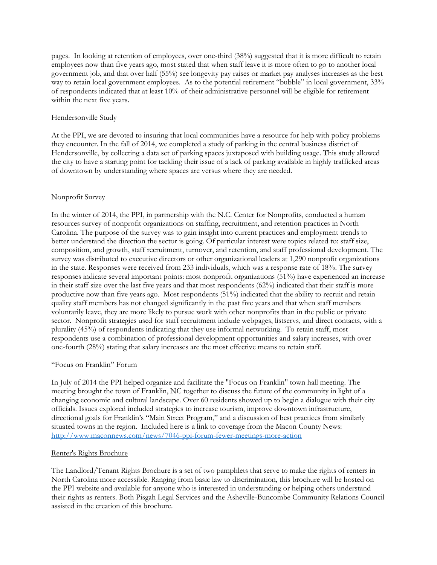pages. In looking at retention of employees, over one-third (38%) suggested that it is more difficult to retain employees now than five years ago, most stated that when staff leave it is more often to go to another local government job, and that over half (55%) see longevity pay raises or market pay analyses increases as the best way to retain local government employees. As to the potential retirement "bubble" in local government, 33% of respondents indicated that at least 10% of their administrative personnel will be eligible for retirement within the next five years.

### Hendersonville Study

At the PPI, we are devoted to insuring that local communities have a resource for help with policy problems they encounter. In the fall of 2014, we completed a study of parking in the central business district of Hendersonville, by collecting a data set of parking spaces juxtaposed with building usage. This study allowed the city to have a starting point for tackling their issue of a lack of parking available in highly trafficked areas of downtown by understanding where spaces are versus where they are needed.

## Nonprofit Survey

In the winter of 2014, the PPI, in partnership with the N.C. Center for Nonprofits, conducted a human resources survey of nonprofit organizations on staffing, recruitment, and retention practices in North Carolina. The purpose of the survey was to gain insight into current practices and employment trends to better understand the direction the sector is going. Of particular interest were topics related to: staff size, composition, and growth, staff recruitment, turnover, and retention, and staff professional development. The survey was distributed to executive directors or other organizational leaders at 1,290 nonprofit organizations in the state. Responses were received from 233 individuals, which was a response rate of 18%. The survey responses indicate several important points: most nonprofit organizations (51%) have experienced an increase in their staff size over the last five years and that most respondents (62%) indicated that their staff is more productive now than five years ago. Most respondents (51%) indicated that the ability to recruit and retain quality staff members has not changed significantly in the past five years and that when staff members voluntarily leave, they are more likely to pursue work with other nonprofits than in the public or private sector. Nonprofit strategies used for staff recruitment include webpages, listservs, and direct contacts, with a plurality (45%) of respondents indicating that they use informal networking. To retain staff, most respondents use a combination of professional development opportunities and salary increases, with over one-fourth (28%) stating that salary increases are the most effective means to retain staff.

### "Focus on Franklin" Forum

In July of 2014 the PPI helped organize and facilitate the "Focus on Franklin" town hall meeting. The meeting brought the town of Franklin, NC together to discuss the future of the community in light of a changing economic and cultural landscape. Over 60 residents showed up to begin a dialogue with their city officials. Issues explored included strategies to increase tourism, improve downtown infrastructure, directional goals for Franklin's "Main Street Program," and a discussion of best practices from similarly situated towns in the region. Included here is a link to coverage from the Macon County News: http://www.maconnews.com/news/7046-ppi-forum-fewer-meetings-more-action

### Renter's Rights Brochure

The Landlord/Tenant Rights Brochure is a set of two pamphlets that serve to make the rights of renters in North Carolina more accessible. Ranging from basic law to discrimination, this brochure will be hosted on the PPI website and available for anyone who is interested in understanding or helping others understand their rights as renters. Both Pisgah Legal Services and the Asheville-Buncombe Community Relations Council assisted in the creation of this brochure.